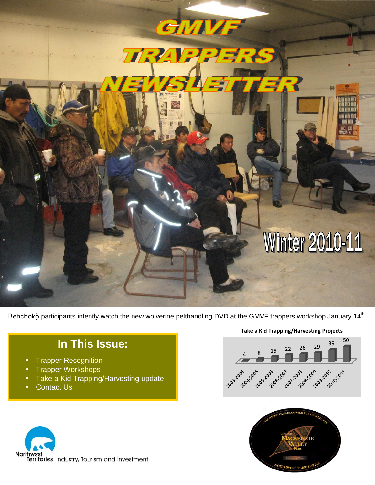# GMMF TRAP **Winter 2010-11**

Behchokò participants intently watch the new wolverine pelthandling DVD at the GMVF trappers workshop January 14<sup>th</sup>.

# **In This Issue:**

- Trapper Recognition
- Trapper Workshops
- Take a Kid Trapping/Harvesting update
- Contact Us



### Take a Kid Trapping/Harvesting Projects



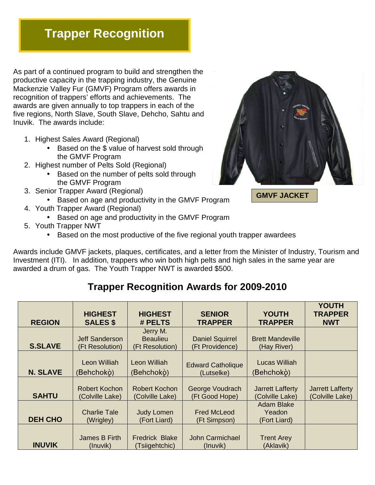# **Trapper Recognition**

As part of a continued program to build and strengthen the productive capacity in the trapping industry, the Genuine Mackenzie Valley Fur (GMVF) Program offers awards in recognition of trappers' efforts and achievements. The awards are given annually to top trappers in each of the five regions, North Slave, South Slave, Dehcho, Sahtu and Inuvik. The awards include:

- 1. Highest Sales Award (Regional)
	- Based on the \$ value of harvest sold through the GMVF Program
- 2. Highest number of Pelts Sold (Regional)
	- Based on the number of pelts sold through the GMVF Program
- 3. Senior Trapper Award (Regional)
	- Based on age and productivity in the GMVF Program
- 4. Youth Trapper Award (Regional)
	- Based on age and productivity in the GMVF Program
- 5. Youth Trapper NWT
	- Based on the most productive of the five regional youth trapper awardees

Awards include GMVF jackets, plaques, certificates, and a letter from the Minister of Industry, Tourism and Investment (ITI). In addition, trappers who win both high pelts and high sales in the same year are awarded a drum of gas. The Youth Trapper NWT is awarded \$500.

# **Trapper Recognition Awards for 2009-2010**

| <b>REGION</b>   | <b>HIGHEST</b><br><b>SALES \$</b>        | <b>HIGHEST</b><br># PELTS                      | <b>SENIOR</b><br><b>TRAPPER</b>           | <b>YOUTH</b><br><b>TRAPPER</b>              | <b>YOUTH</b><br><b>TRAPPER</b><br><b>NWT</b> |
|-----------------|------------------------------------------|------------------------------------------------|-------------------------------------------|---------------------------------------------|----------------------------------------------|
| <b>S.SLAVE</b>  | <b>Jeff Sanderson</b><br>(Ft Resolution) | Jerry M.<br><b>Beaulieu</b><br>(Ft Resolution) | <b>Daniel Squirrel</b><br>(Ft Providence) | <b>Brett Mandeville</b><br>(Hay River)      |                                              |
| <b>N. SLAVE</b> | Leon Williah<br>(Behchokò)               | <b>Leon Williah</b><br>(Behchokò)              | <b>Edward Catholique</b><br>(Lutselke)    | Lucas Williah<br>(Behchokò)                 |                                              |
| <b>SAHTU</b>    | <b>Robert Kochon</b><br>(Colville Lake)  | <b>Robert Kochon</b><br>(Colville Lake)        | George Voudrach<br>(Ft Good Hope)         | <b>Jarrett Lafferty</b><br>(Colville Lake)  | <b>Jarrett Lafferty</b><br>(Colville Lake)   |
| <b>DEH CHO</b>  | <b>Charlie Tale</b><br>(Wrigley)         | <b>Judy Lomen</b><br>(Fort Liard)              | <b>Fred McLeod</b><br>(Ft Simpson)        | <b>Adam Blake</b><br>Yeadon<br>(Fort Liard) |                                              |
| <b>INUVIK</b>   | James B Firth<br>(Inuvik)                | <b>Fredrick Blake</b><br>(Tsiigehtchic)        | <b>John Carmichael</b><br>(Inuvik)        | <b>Trent Arey</b><br>(Aklavik)              |                                              |



**GMVF JACKET**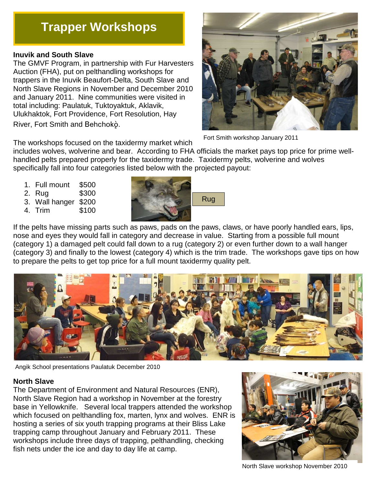# **Trapper Workshops**

### **Inuvik and South Slave**

The GMVF Program, in partnership with Fur Harvesters Auction (FHA), put on pelthandling workshops for trappers in the Inuvik Beaufort-Delta, South Slave and North Slave Regions in November and December 2010 and January 2011. Nine communities were visited in total including: Paulatuk, Tuktoyaktuk, Aklavik, Ulukhaktok, Fort Providence, Fort Resolution, Hay River, Fort Smith and Behchoko.



Fort Smith workshop January 2011

The workshops focused on the taxidermy market which

includes wolves, wolverine and bear. According to FHA officials the market pays top price for prime wellhandled pelts prepared properly for the taxidermy trade. Taxidermy pelts, wolverine and wolves specifically fall into four categories listed below with the projected payout:

- 1. Full mount \$500
- 2. Rug \$300
- 3. Wall hanger \$200
- 4. Trim \$100



If the pelts have missing parts such as paws, pads on the paws, claws, or have poorly handled ears, lips, nose and eyes they would fall in category and decrease in value. Starting from a possible full mount (category 1) a damaged pelt could fall down to a rug (category 2) or even further down to a wall hanger (category 3) and finally to the lowest (category 4) which is the trim trade. The workshops gave tips on how to prepare the pelts to get top price for a full mount taxidermy quality pelt.



Angik School presentations Paulatuk December 2010

## **North Slave**

The Department of Environment and Natural Resources (ENR), North Slave Region had a workshop in November at the forestry base in Yellowknife. Several local trappers attended the workshop which focused on pelthandling fox, marten, lynx and wolves. ENR is hosting a series of six youth trapping programs at their Bliss Lake trapping camp throughout January and February 2011. These workshops include three days of trapping, pelthandling, checking fish nets under the ice and day to day life at camp.



North Slave workshop November 2010